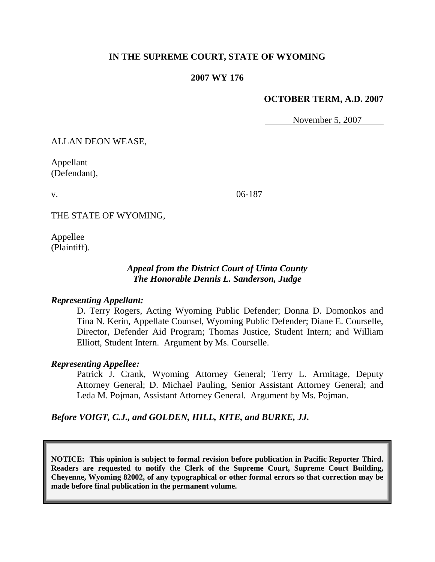## **IN THE SUPREME COURT, STATE OF WYOMING**

#### **2007 WY 176**

#### **OCTOBER TERM, A.D. 2007**

November 5, 2007

ALLAN DEON WEASE,

Appellant (Defendant),

06-187

THE STATE OF WYOMING,

Appellee (Plaintiff).

v.

#### *Appeal from the District Court of Uinta County The Honorable Dennis L. Sanderson, Judge*

#### *Representing Appellant:*

D. Terry Rogers, Acting Wyoming Public Defender; Donna D. Domonkos and Tina N. Kerin, Appellate Counsel, Wyoming Public Defender; Diane E. Courselle, Director, Defender Aid Program; Thomas Justice, Student Intern; and William Elliott, Student Intern. Argument by Ms. Courselle.

#### *Representing Appellee:*

Patrick J. Crank, Wyoming Attorney General; Terry L. Armitage, Deputy Attorney General; D. Michael Pauling, Senior Assistant Attorney General; and Leda M. Pojman, Assistant Attorney General. Argument by Ms. Pojman.

*Before VOIGT, C.J., and GOLDEN, HILL, KITE, and BURKE, JJ.*

**NOTICE: This opinion is subject to formal revision before publication in Pacific Reporter Third. Readers are requested to notify the Clerk of the Supreme Court, Supreme Court Building, Cheyenne, Wyoming 82002, of any typographical or other formal errors so that correction may be made before final publication in the permanent volume.**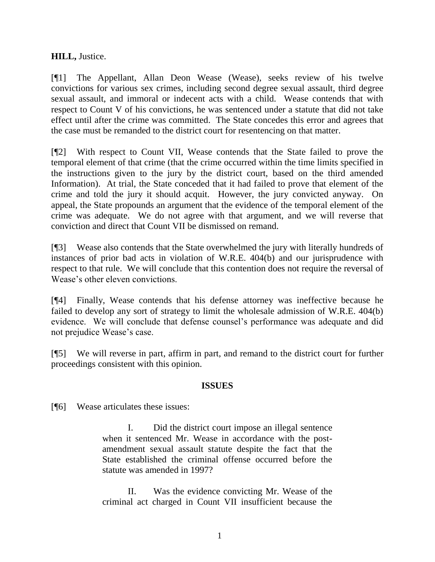# **HILL,** Justice.

[¶1] The Appellant, Allan Deon Wease (Wease), seeks review of his twelve convictions for various sex crimes, including second degree sexual assault, third degree sexual assault, and immoral or indecent acts with a child. Wease contends that with respect to Count V of his convictions, he was sentenced under a statute that did not take effect until after the crime was committed. The State concedes this error and agrees that the case must be remanded to the district court for resentencing on that matter.

[¶2] With respect to Count VII, Wease contends that the State failed to prove the temporal element of that crime (that the crime occurred within the time limits specified in the instructions given to the jury by the district court, based on the third amended Information). At trial, the State conceded that it had failed to prove that element of the crime and told the jury it should acquit. However, the jury convicted anyway. On appeal, the State propounds an argument that the evidence of the temporal element of the crime was adequate. We do not agree with that argument, and we will reverse that conviction and direct that Count VII be dismissed on remand.

[¶3] Wease also contends that the State overwhelmed the jury with literally hundreds of instances of prior bad acts in violation of W.R.E. 404(b) and our jurisprudence with respect to that rule. We will conclude that this contention does not require the reversal of Wease's other eleven convictions.

[¶4] Finally, Wease contends that his defense attorney was ineffective because he failed to develop any sort of strategy to limit the wholesale admission of W.R.E. 404(b) evidence. We will conclude that defense counsel's performance was adequate and did not prejudice Wease's case.

[¶5] We will reverse in part, affirm in part, and remand to the district court for further proceedings consistent with this opinion.

### **ISSUES**

[¶6] Wease articulates these issues:

I. Did the district court impose an illegal sentence when it sentenced Mr. Wease in accordance with the postamendment sexual assault statute despite the fact that the State established the criminal offense occurred before the statute was amended in 1997?

II. Was the evidence convicting Mr. Wease of the criminal act charged in Count VII insufficient because the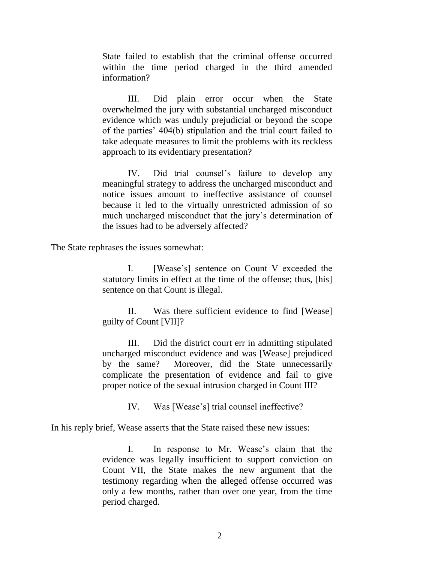State failed to establish that the criminal offense occurred within the time period charged in the third amended information?

III. Did plain error occur when the State overwhelmed the jury with substantial uncharged misconduct evidence which was unduly prejudicial or beyond the scope of the parties' 404(b) stipulation and the trial court failed to take adequate measures to limit the problems with its reckless approach to its evidentiary presentation?

IV. Did trial counsel's failure to develop any meaningful strategy to address the uncharged misconduct and notice issues amount to ineffective assistance of counsel because it led to the virtually unrestricted admission of so much uncharged misconduct that the jury's determination of the issues had to be adversely affected?

The State rephrases the issues somewhat:

I. [Wease's] sentence on Count V exceeded the statutory limits in effect at the time of the offense; thus, [his] sentence on that Count is illegal.

II. Was there sufficient evidence to find [Wease] guilty of Count [VII]?

III. Did the district court err in admitting stipulated uncharged misconduct evidence and was [Wease] prejudiced by the same? Moreover, did the State unnecessarily complicate the presentation of evidence and fail to give proper notice of the sexual intrusion charged in Count III?

IV. Was [Wease's] trial counsel ineffective?

In his reply brief, Wease asserts that the State raised these new issues:

I. In response to Mr. Wease's claim that the evidence was legally insufficient to support conviction on Count VII, the State makes the new argument that the testimony regarding when the alleged offense occurred was only a few months, rather than over one year, from the time period charged.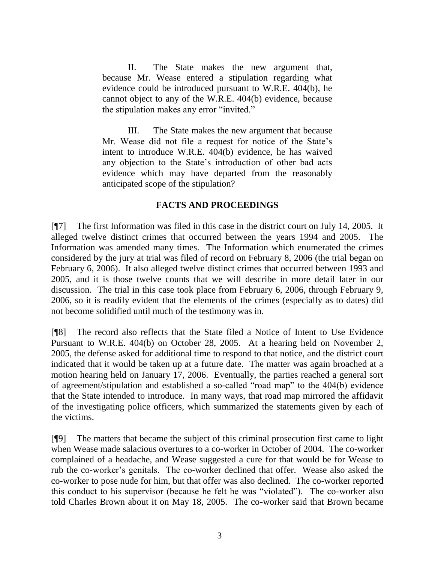II. The State makes the new argument that, because Mr. Wease entered a stipulation regarding what evidence could be introduced pursuant to W.R.E. 404(b), he cannot object to any of the W.R.E. 404(b) evidence, because the stipulation makes any error "invited."

III. The State makes the new argument that because Mr. Wease did not file a request for notice of the State's intent to introduce W.R.E. 404(b) evidence, he has waived any objection to the State's introduction of other bad acts evidence which may have departed from the reasonably anticipated scope of the stipulation?

# **FACTS AND PROCEEDINGS**

[¶7] The first Information was filed in this case in the district court on July 14, 2005. It alleged twelve distinct crimes that occurred between the years 1994 and 2005. The Information was amended many times. The Information which enumerated the crimes considered by the jury at trial was filed of record on February 8, 2006 (the trial began on February 6, 2006). It also alleged twelve distinct crimes that occurred between 1993 and 2005, and it is those twelve counts that we will describe in more detail later in our discussion. The trial in this case took place from February 6, 2006, through February 9, 2006, so it is readily evident that the elements of the crimes (especially as to dates) did not become solidified until much of the testimony was in.

[¶8] The record also reflects that the State filed a Notice of Intent to Use Evidence Pursuant to W.R.E. 404(b) on October 28, 2005. At a hearing held on November 2, 2005, the defense asked for additional time to respond to that notice, and the district court indicated that it would be taken up at a future date. The matter was again broached at a motion hearing held on January 17, 2006. Eventually, the parties reached a general sort of agreement/stipulation and established a so-called "road map" to the 404(b) evidence that the State intended to introduce. In many ways, that road map mirrored the affidavit of the investigating police officers, which summarized the statements given by each of the victims.

[¶9] The matters that became the subject of this criminal prosecution first came to light when Wease made salacious overtures to a co-worker in October of 2004. The co-worker complained of a headache, and Wease suggested a cure for that would be for Wease to rub the co-worker's genitals. The co-worker declined that offer. Wease also asked the co-worker to pose nude for him, but that offer was also declined. The co-worker reported this conduct to his supervisor (because he felt he was "violated"). The co-worker also told Charles Brown about it on May 18, 2005. The co-worker said that Brown became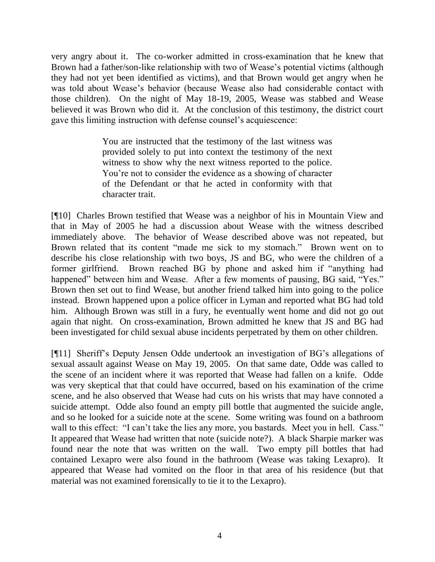very angry about it. The co-worker admitted in cross-examination that he knew that Brown had a father/son-like relationship with two of Wease's potential victims (although they had not yet been identified as victims), and that Brown would get angry when he was told about Wease's behavior (because Wease also had considerable contact with those children). On the night of May 18-19, 2005, Wease was stabbed and Wease believed it was Brown who did it. At the conclusion of this testimony, the district court gave this limiting instruction with defense counsel's acquiescence:

> You are instructed that the testimony of the last witness was provided solely to put into context the testimony of the next witness to show why the next witness reported to the police. You're not to consider the evidence as a showing of character of the Defendant or that he acted in conformity with that character trait.

[¶10] Charles Brown testified that Wease was a neighbor of his in Mountain View and that in May of 2005 he had a discussion about Wease with the witness described immediately above. The behavior of Wease described above was not repeated, but Brown related that its content "made me sick to my stomach." Brown went on to describe his close relationship with two boys, JS and BG, who were the children of a former girlfriend. Brown reached BG by phone and asked him if "anything had happened" between him and Wease. After a few moments of pausing, BG said, "Yes." Brown then set out to find Wease, but another friend talked him into going to the police instead. Brown happened upon a police officer in Lyman and reported what BG had told him. Although Brown was still in a fury, he eventually went home and did not go out again that night. On cross-examination, Brown admitted he knew that JS and BG had been investigated for child sexual abuse incidents perpetrated by them on other children.

[¶11] Sheriff's Deputy Jensen Odde undertook an investigation of BG's allegations of sexual assault against Wease on May 19, 2005. On that same date, Odde was called to the scene of an incident where it was reported that Wease had fallen on a knife. Odde was very skeptical that that could have occurred, based on his examination of the crime scene, and he also observed that Wease had cuts on his wrists that may have connoted a suicide attempt. Odde also found an empty pill bottle that augmented the suicide angle, and so he looked for a suicide note at the scene. Some writing was found on a bathroom wall to this effect: "I can't take the lies any more, you bastards. Meet you in hell. Cass." It appeared that Wease had written that note (suicide note?). A black Sharpie marker was found near the note that was written on the wall. Two empty pill bottles that had contained Lexapro were also found in the bathroom (Wease was taking Lexapro). It appeared that Wease had vomited on the floor in that area of his residence (but that material was not examined forensically to tie it to the Lexapro).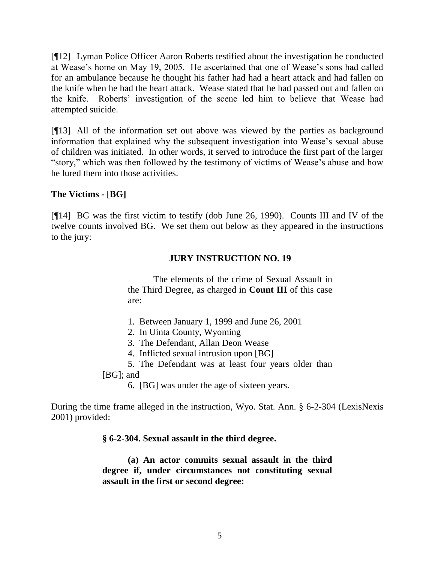[¶12] Lyman Police Officer Aaron Roberts testified about the investigation he conducted at Wease's home on May 19, 2005. He ascertained that one of Wease's sons had called for an ambulance because he thought his father had had a heart attack and had fallen on the knife when he had the heart attack. Wease stated that he had passed out and fallen on the knife. Roberts' investigation of the scene led him to believe that Wease had attempted suicide.

[¶13] All of the information set out above was viewed by the parties as background information that explained why the subsequent investigation into Wease's sexual abuse of children was initiated. In other words, it served to introduce the first part of the larger "story," which was then followed by the testimony of victims of Wease's abuse and how he lured them into those activities.

# **The Victims -** [**BG]**

[¶14] BG was the first victim to testify (dob June 26, 1990). Counts III and IV of the twelve counts involved BG. We set them out below as they appeared in the instructions to the jury:

# **JURY INSTRUCTION NO. 19**

The elements of the crime of Sexual Assault in the Third Degree, as charged in **Count III** of this case are:

- 1. Between January 1, 1999 and June 26, 2001
- 2. In Uinta County, Wyoming
- 3. The Defendant, Allan Deon Wease
- 4. Inflicted sexual intrusion upon [BG]
- 5. The Defendant was at least four years older than

[BG]; and

6. [BG] was under the age of sixteen years.

During the time frame alleged in the instruction, Wyo. Stat. Ann. § 6-2-304 (LexisNexis 2001) provided:

**§ 6-2-304. Sexual assault in the third degree.**

**(a) An actor commits sexual assault in the third degree if, under circumstances not constituting sexual assault in the first or second degree:**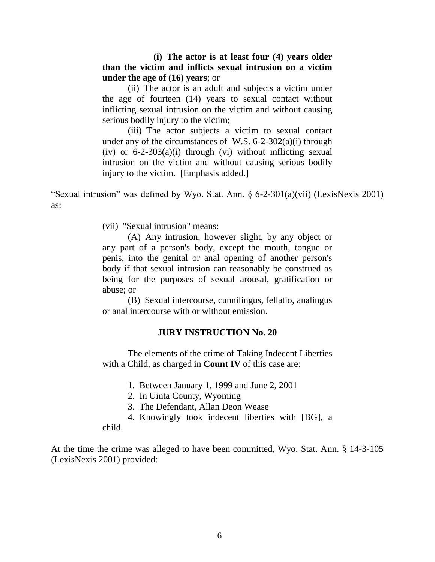## **(i) The actor is at least four (4) years older than the victim and inflicts sexual intrusion on a victim under the age of (16) years**; or

(ii) The actor is an adult and subjects a victim under the age of fourteen (14) years to sexual contact without inflicting sexual intrusion on the victim and without causing serious bodily injury to the victim;

(iii) The actor subjects a victim to sexual contact under any of the circumstances of W.S.  $6-2-302(a)(i)$  through (iv) or  $6-2-303(a)(i)$  through (vi) without inflicting sexual intrusion on the victim and without causing serious bodily injury to the victim. [Emphasis added.]

"Sexual intrusion" was defined by Wyo. Stat. Ann. § 6-2-301(a)(vii) (LexisNexis 2001) as:

(vii) "Sexual intrusion" means:

(A) Any intrusion, however slight, by any object or any part of a person's body, except the mouth, tongue or penis, into the genital or anal opening of another person's body if that sexual intrusion can reasonably be construed as being for the purposes of sexual arousal, gratification or abuse; or

(B) Sexual intercourse, cunnilingus, fellatio, analingus or anal intercourse with or without emission.

### **JURY INSTRUCTION No. 20**

The elements of the crime of Taking Indecent Liberties with a Child, as charged in **Count IV** of this case are:

1. Between January 1, 1999 and June 2, 2001

- 2. In Uinta County, Wyoming
- 3. The Defendant, Allan Deon Wease
- 4. Knowingly took indecent liberties with [BG], a

child.

At the time the crime was alleged to have been committed, Wyo. Stat. Ann. § 14-3-105 (LexisNexis 2001) provided: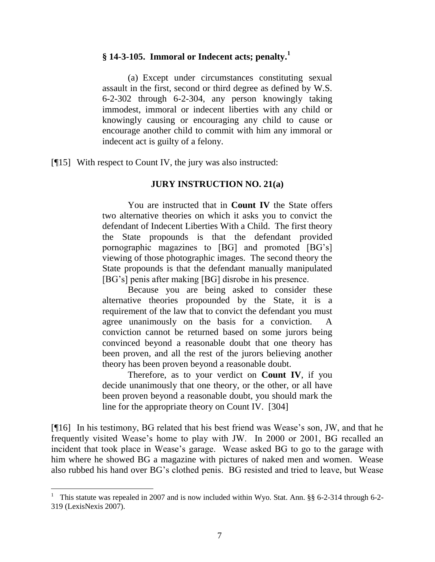# **§ 14-3-105. Immoral or Indecent acts; penalty.<sup>1</sup>**

(a) Except under circumstances constituting sexual assault in the first, second or third degree as defined by W.S. 6-2-302 through 6-2-304, any person knowingly taking immodest, immoral or indecent liberties with any child or knowingly causing or encouraging any child to cause or encourage another child to commit with him any immoral or indecent act is guilty of a felony.

[¶15] With respect to Count IV, the jury was also instructed:

### **JURY INSTRUCTION NO. 21(a)**

You are instructed that in **Count IV** the State offers two alternative theories on which it asks you to convict the defendant of Indecent Liberties With a Child. The first theory the State propounds is that the defendant provided pornographic magazines to [BG] and promoted [BG's] viewing of those photographic images. The second theory the State propounds is that the defendant manually manipulated [BG's] penis after making [BG] disrobe in his presence.

Because you are being asked to consider these alternative theories propounded by the State, it is a requirement of the law that to convict the defendant you must agree unanimously on the basis for a conviction. A conviction cannot be returned based on some jurors being convinced beyond a reasonable doubt that one theory has been proven, and all the rest of the jurors believing another theory has been proven beyond a reasonable doubt.

Therefore, as to your verdict on **Count IV**, if you decide unanimously that one theory, or the other, or all have been proven beyond a reasonable doubt, you should mark the line for the appropriate theory on Count IV. [304]

[¶16] In his testimony, BG related that his best friend was Wease's son, JW, and that he frequently visited Wease's home to play with JW. In 2000 or 2001, BG recalled an incident that took place in Wease's garage. Wease asked BG to go to the garage with him where he showed BG a magazine with pictures of naked men and women. Wease also rubbed his hand over BG's clothed penis. BG resisted and tried to leave, but Wease

l

<sup>&</sup>lt;sup>1</sup> This statute was repealed in 2007 and is now included within Wyo. Stat. Ann. §§ 6-2-314 through 6-2-319 (LexisNexis 2007).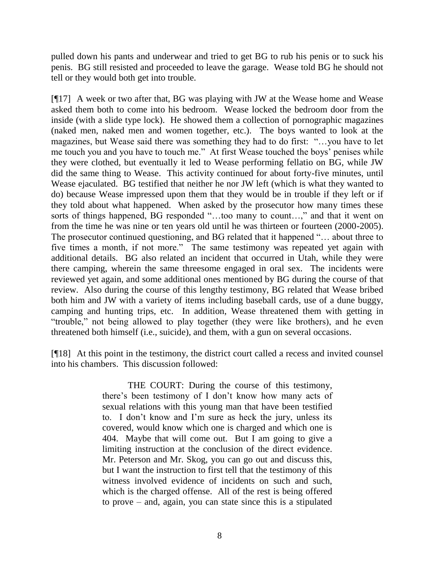pulled down his pants and underwear and tried to get BG to rub his penis or to suck his penis. BG still resisted and proceeded to leave the garage. Wease told BG he should not tell or they would both get into trouble.

[¶17] A week or two after that, BG was playing with JW at the Wease home and Wease asked them both to come into his bedroom. Wease locked the bedroom door from the inside (with a slide type lock). He showed them a collection of pornographic magazines (naked men, naked men and women together, etc.). The boys wanted to look at the magazines, but Wease said there was something they had to do first: "…you have to let me touch you and you have to touch me." At first Wease touched the boys' penises while they were clothed, but eventually it led to Wease performing fellatio on BG, while JW did the same thing to Wease. This activity continued for about forty-five minutes, until Wease ejaculated. BG testified that neither he nor JW left (which is what they wanted to do) because Wease impressed upon them that they would be in trouble if they left or if they told about what happened. When asked by the prosecutor how many times these sorts of things happened, BG responded "…too many to count…," and that it went on from the time he was nine or ten years old until he was thirteen or fourteen (2000-2005). The prosecutor continued questioning, and BG related that it happened "… about three to five times a month, if not more." The same testimony was repeated yet again with additional details. BG also related an incident that occurred in Utah, while they were there camping, wherein the same threesome engaged in oral sex. The incidents were reviewed yet again, and some additional ones mentioned by BG during the course of that review. Also during the course of this lengthy testimony, BG related that Wease bribed both him and JW with a variety of items including baseball cards, use of a dune buggy, camping and hunting trips, etc. In addition, Wease threatened them with getting in "trouble," not being allowed to play together (they were like brothers), and he even threatened both himself (i.e., suicide), and them, with a gun on several occasions.

[¶18] At this point in the testimony, the district court called a recess and invited counsel into his chambers. This discussion followed:

> THE COURT: During the course of this testimony, there's been testimony of I don't know how many acts of sexual relations with this young man that have been testified to. I don't know and I'm sure as heck the jury, unless its covered, would know which one is charged and which one is 404. Maybe that will come out. But I am going to give a limiting instruction at the conclusion of the direct evidence. Mr. Peterson and Mr. Skog, you can go out and discuss this, but I want the instruction to first tell that the testimony of this witness involved evidence of incidents on such and such, which is the charged offense. All of the rest is being offered to prove – and, again, you can state since this is a stipulated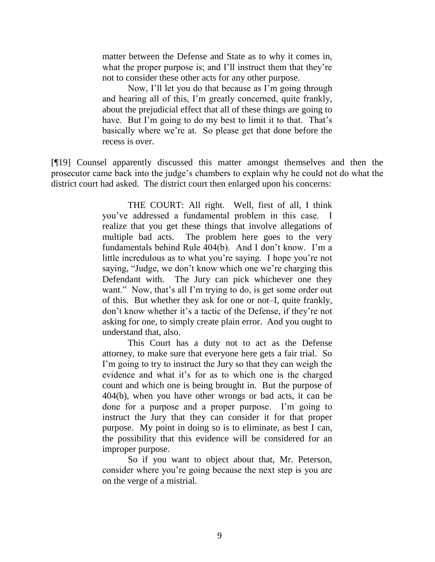matter between the Defense and State as to why it comes in, what the proper purpose is; and I'll instruct them that they're not to consider these other acts for any other purpose.

Now, I'll let you do that because as I'm going through and hearing all of this, I'm greatly concerned, quite frankly, about the prejudicial effect that all of these things are going to have. But I'm going to do my best to limit it to that. That's basically where we're at. So please get that done before the recess is over.

[¶19] Counsel apparently discussed this matter amongst themselves and then the prosecutor came back into the judge's chambers to explain why he could not do what the district court had asked. The district court then enlarged upon his concerns:

> THE COURT: All right. Well, first of all, I think you've addressed a fundamental problem in this case. I realize that you get these things that involve allegations of multiple bad acts. The problem here goes to the very fundamentals behind Rule 404(b). And I don't know. I'm a little incredulous as to what you're saying. I hope you're not saying, "Judge, we don't know which one we're charging this Defendant with. The Jury can pick whichever one they want." Now, that's all I'm trying to do, is get some order out of this. But whether they ask for one or not–I, quite frankly, don't know whether it's a tactic of the Defense, if they're not asking for one, to simply create plain error. And you ought to understand that, also.

> This Court has a duty not to act as the Defense attorney, to make sure that everyone here gets a fair trial. So I'm going to try to instruct the Jury so that they can weigh the evidence and what it's for as to which one is the charged count and which one is being brought in. But the purpose of 404(b), when you have other wrongs or bad acts, it can be done for a purpose and a proper purpose. I'm going to instruct the Jury that they can consider it for that proper purpose. My point in doing so is to eliminate, as best I can, the possibility that this evidence will be considered for an improper purpose.

So if you want to object about that, Mr. Peterson, consider where you're going because the next step is you are on the verge of a mistrial.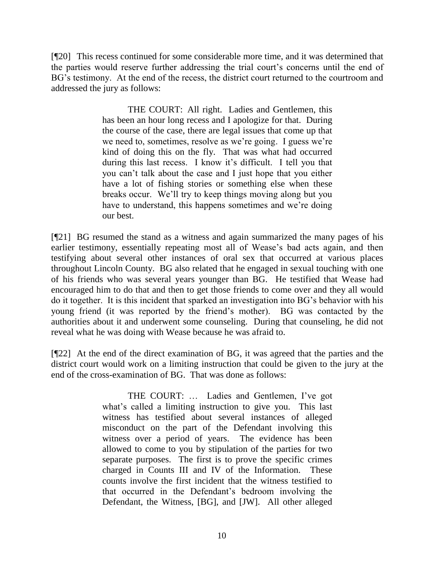[¶20] This recess continued for some considerable more time, and it was determined that the parties would reserve further addressing the trial court's concerns until the end of BG's testimony. At the end of the recess, the district court returned to the courtroom and addressed the jury as follows:

> THE COURT: All right. Ladies and Gentlemen, this has been an hour long recess and I apologize for that. During the course of the case, there are legal issues that come up that we need to, sometimes, resolve as we're going. I guess we're kind of doing this on the fly. That was what had occurred during this last recess. I know it's difficult. I tell you that you can't talk about the case and I just hope that you either have a lot of fishing stories or something else when these breaks occur. We'll try to keep things moving along but you have to understand, this happens sometimes and we're doing our best.

[¶21] BG resumed the stand as a witness and again summarized the many pages of his earlier testimony, essentially repeating most all of Wease's bad acts again, and then testifying about several other instances of oral sex that occurred at various places throughout Lincoln County. BG also related that he engaged in sexual touching with one of his friends who was several years younger than BG. He testified that Wease had encouraged him to do that and then to get those friends to come over and they all would do it together. It is this incident that sparked an investigation into BG's behavior with his young friend (it was reported by the friend's mother). BG was contacted by the authorities about it and underwent some counseling. During that counseling, he did not reveal what he was doing with Wease because he was afraid to.

[¶22] At the end of the direct examination of BG, it was agreed that the parties and the district court would work on a limiting instruction that could be given to the jury at the end of the cross-examination of BG. That was done as follows:

> THE COURT: … Ladies and Gentlemen, I've got what's called a limiting instruction to give you. This last witness has testified about several instances of alleged misconduct on the part of the Defendant involving this witness over a period of years. The evidence has been allowed to come to you by stipulation of the parties for two separate purposes. The first is to prove the specific crimes charged in Counts III and IV of the Information. These counts involve the first incident that the witness testified to that occurred in the Defendant's bedroom involving the Defendant, the Witness, [BG], and [JW]. All other alleged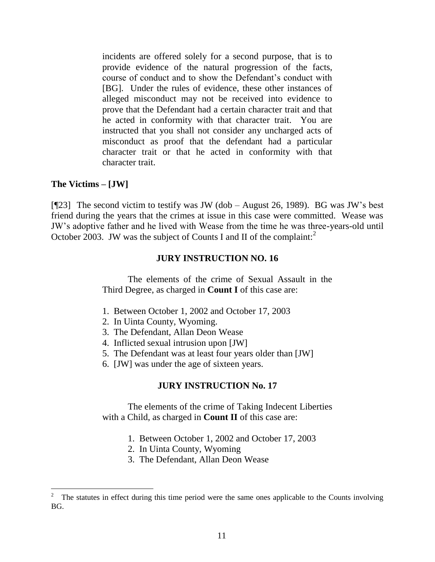incidents are offered solely for a second purpose, that is to provide evidence of the natural progression of the facts, course of conduct and to show the Defendant's conduct with [BG]. Under the rules of evidence, these other instances of alleged misconduct may not be received into evidence to prove that the Defendant had a certain character trait and that he acted in conformity with that character trait. You are instructed that you shall not consider any uncharged acts of misconduct as proof that the defendant had a particular character trait or that he acted in conformity with that character trait.

### **The Victims – [JW]**

[¶23] The second victim to testify was JW (dob – August 26, 1989). BG was JW's best friend during the years that the crimes at issue in this case were committed. Wease was JW's adoptive father and he lived with Wease from the time he was three-years-old until October 2003. JW was the subject of Counts I and II of the complaint:

### **JURY INSTRUCTION NO. 16**

The elements of the crime of Sexual Assault in the Third Degree, as charged in **Count I** of this case are:

- 1. Between October 1, 2002 and October 17, 2003
- 2. In Uinta County, Wyoming.
- 3. The Defendant, Allan Deon Wease
- 4. Inflicted sexual intrusion upon [JW]
- 5. The Defendant was at least four years older than [JW]
- 6. [JW] was under the age of sixteen years.

### **JURY INSTRUCTION No. 17**

The elements of the crime of Taking Indecent Liberties with a Child, as charged in **Count II** of this case are:

- 1. Between October 1, 2002 and October 17, 2003
- 2. In Uinta County, Wyoming
- 3. The Defendant, Allan Deon Wease

<sup>&</sup>lt;sup>2</sup> The statutes in effect during this time period were the same ones applicable to the Counts involving BG.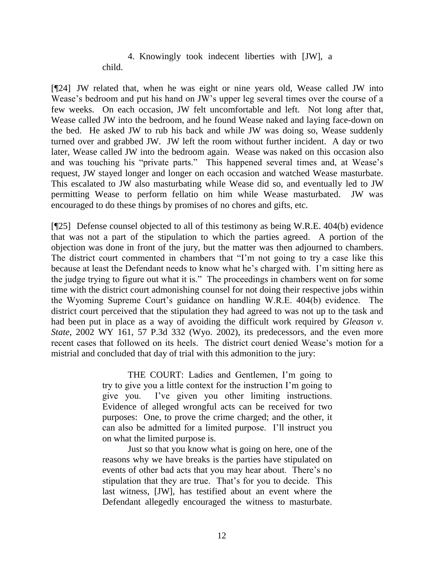# 4. Knowingly took indecent liberties with [JW], a child.

[¶24] JW related that, when he was eight or nine years old, Wease called JW into Wease's bedroom and put his hand on JW's upper leg several times over the course of a few weeks. On each occasion, JW felt uncomfortable and left. Not long after that, Wease called JW into the bedroom, and he found Wease naked and laying face-down on the bed. He asked JW to rub his back and while JW was doing so, Wease suddenly turned over and grabbed JW. JW left the room without further incident. A day or two later, Wease called JW into the bedroom again. Wease was naked on this occasion also and was touching his "private parts." This happened several times and, at Wease's request, JW stayed longer and longer on each occasion and watched Wease masturbate. This escalated to JW also masturbating while Wease did so, and eventually led to JW permitting Wease to perform fellatio on him while Wease masturbated. JW was encouraged to do these things by promises of no chores and gifts, etc.

[¶25] Defense counsel objected to all of this testimony as being W.R.E. 404(b) evidence that was not a part of the stipulation to which the parties agreed. A portion of the objection was done in front of the jury, but the matter was then adjourned to chambers. The district court commented in chambers that "I'm not going to try a case like this because at least the Defendant needs to know what he's charged with. I'm sitting here as the judge trying to figure out what it is." The proceedings in chambers went on for some time with the district court admonishing counsel for not doing their respective jobs within the Wyoming Supreme Court's guidance on handling W.R.E. 404(b) evidence. The district court perceived that the stipulation they had agreed to was not up to the task and had been put in place as a way of avoiding the difficult work required by *Gleason v. State*, 2002 WY 161, 57 P.3d 332 (Wyo. 2002), its predecessors, and the even more recent cases that followed on its heels. The district court denied Wease's motion for a mistrial and concluded that day of trial with this admonition to the jury:

> THE COURT: Ladies and Gentlemen, I'm going to try to give you a little context for the instruction I'm going to give you. I've given you other limiting instructions. Evidence of alleged wrongful acts can be received for two purposes: One, to prove the crime charged; and the other, it can also be admitted for a limited purpose. I'll instruct you on what the limited purpose is.

> Just so that you know what is going on here, one of the reasons why we have breaks is the parties have stipulated on events of other bad acts that you may hear about. There's no stipulation that they are true. That's for you to decide. This last witness, [JW], has testified about an event where the Defendant allegedly encouraged the witness to masturbate.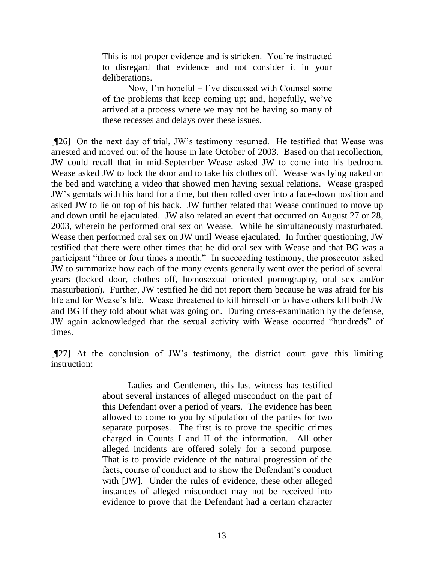This is not proper evidence and is stricken. You're instructed to disregard that evidence and not consider it in your deliberations.

Now, I'm hopeful – I've discussed with Counsel some of the problems that keep coming up; and, hopefully, we've arrived at a process where we may not be having so many of these recesses and delays over these issues.

[¶26] On the next day of trial, JW's testimony resumed. He testified that Wease was arrested and moved out of the house in late October of 2003. Based on that recollection, JW could recall that in mid-September Wease asked JW to come into his bedroom. Wease asked JW to lock the door and to take his clothes off. Wease was lying naked on the bed and watching a video that showed men having sexual relations. Wease grasped JW's genitals with his hand for a time, but then rolled over into a face-down position and asked JW to lie on top of his back. JW further related that Wease continued to move up and down until he ejaculated. JW also related an event that occurred on August 27 or 28, 2003, wherein he performed oral sex on Wease. While he simultaneously masturbated, Wease then performed oral sex on JW until Wease ejaculated. In further questioning, JW testified that there were other times that he did oral sex with Wease and that BG was a participant "three or four times a month." In succeeding testimony, the prosecutor asked JW to summarize how each of the many events generally went over the period of several years (locked door, clothes off, homosexual oriented pornography, oral sex and/or masturbation). Further, JW testified he did not report them because he was afraid for his life and for Wease's life. Wease threatened to kill himself or to have others kill both JW and BG if they told about what was going on. During cross-examination by the defense, JW again acknowledged that the sexual activity with Wease occurred "hundreds" of times.

[¶27] At the conclusion of JW's testimony, the district court gave this limiting instruction:

> Ladies and Gentlemen, this last witness has testified about several instances of alleged misconduct on the part of this Defendant over a period of years. The evidence has been allowed to come to you by stipulation of the parties for two separate purposes. The first is to prove the specific crimes charged in Counts I and II of the information. All other alleged incidents are offered solely for a second purpose. That is to provide evidence of the natural progression of the facts, course of conduct and to show the Defendant's conduct with [JW]. Under the rules of evidence, these other alleged instances of alleged misconduct may not be received into evidence to prove that the Defendant had a certain character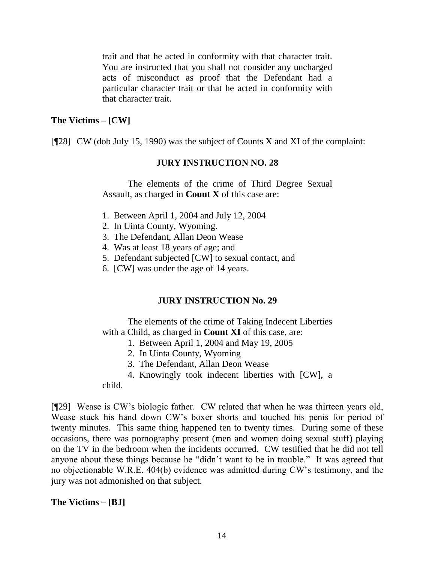trait and that he acted in conformity with that character trait. You are instructed that you shall not consider any uncharged acts of misconduct as proof that the Defendant had a particular character trait or that he acted in conformity with that character trait.

# **The Victims – [CW]**

 $[$ [[28] CW (dob July 15, 1990) was the subject of Counts X and XI of the complaint:

### **JURY INSTRUCTION NO. 28**

The elements of the crime of Third Degree Sexual Assault, as charged in **Count X** of this case are:

- 1. Between April 1, 2004 and July 12, 2004
- 2. In Uinta County, Wyoming.
- 3. The Defendant, Allan Deon Wease
- 4. Was at least 18 years of age; and
- 5. Defendant subjected [CW] to sexual contact, and
- 6. [CW] was under the age of 14 years.

### **JURY INSTRUCTION No. 29**

The elements of the crime of Taking Indecent Liberties with a Child, as charged in **Count XI** of this case, are:

- 1. Between April 1, 2004 and May 19, 2005
- 2. In Uinta County, Wyoming
- 3. The Defendant, Allan Deon Wease
- 4. Knowingly took indecent liberties with [CW], a

child.

[¶29] Wease is CW's biologic father. CW related that when he was thirteen years old, Wease stuck his hand down CW's boxer shorts and touched his penis for period of twenty minutes. This same thing happened ten to twenty times. During some of these occasions, there was pornography present (men and women doing sexual stuff) playing on the TV in the bedroom when the incidents occurred. CW testified that he did not tell anyone about these things because he "didn't want to be in trouble." It was agreed that no objectionable W.R.E. 404(b) evidence was admitted during CW's testimony, and the jury was not admonished on that subject.

**The Victims – [BJ]**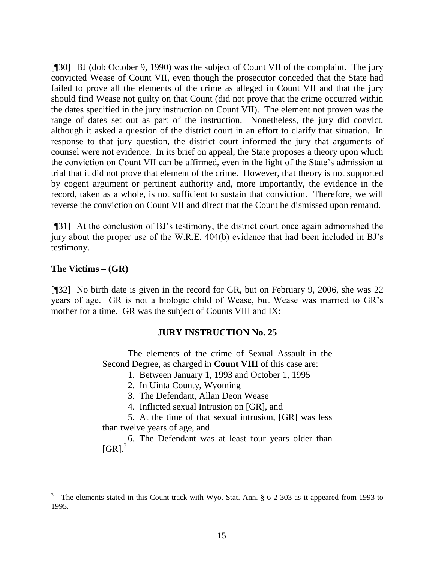[¶30] BJ (dob October 9, 1990) was the subject of Count VII of the complaint. The jury convicted Wease of Count VII, even though the prosecutor conceded that the State had failed to prove all the elements of the crime as alleged in Count VII and that the jury should find Wease not guilty on that Count (did not prove that the crime occurred within the dates specified in the jury instruction on Count VII). The element not proven was the range of dates set out as part of the instruction. Nonetheless, the jury did convict, although it asked a question of the district court in an effort to clarify that situation. In response to that jury question, the district court informed the jury that arguments of counsel were not evidence. In its brief on appeal, the State proposes a theory upon which the conviction on Count VII can be affirmed, even in the light of the State's admission at trial that it did not prove that element of the crime. However, that theory is not supported by cogent argument or pertinent authority and, more importantly, the evidence in the record, taken as a whole, is not sufficient to sustain that conviction. Therefore, we will reverse the conviction on Count VII and direct that the Count be dismissed upon remand.

[¶31] At the conclusion of BJ's testimony, the district court once again admonished the jury about the proper use of the W.R.E. 404(b) evidence that had been included in BJ's testimony.

### **The Victims – (GR)**

l

[¶32] No birth date is given in the record for GR, but on February 9, 2006, she was 22 years of age. GR is not a biologic child of Wease, but Wease was married to GR's mother for a time. GR was the subject of Counts VIII and IX:

### **JURY INSTRUCTION No. 25**

The elements of the crime of Sexual Assault in the Second Degree, as charged in **Count VIII** of this case are:

- 1. Between January 1, 1993 and October 1, 1995
- 2. In Uinta County, Wyoming
- 3. The Defendant, Allan Deon Wease
- 4. Inflicted sexual Intrusion on [GR], and
- 5. At the time of that sexual intrusion, [GR] was less than twelve years of age, and

6. The Defendant was at least four years older than  $[GR]<sup>3</sup>$ 

<sup>3</sup> The elements stated in this Count track with Wyo. Stat. Ann. § 6-2-303 as it appeared from 1993 to 1995.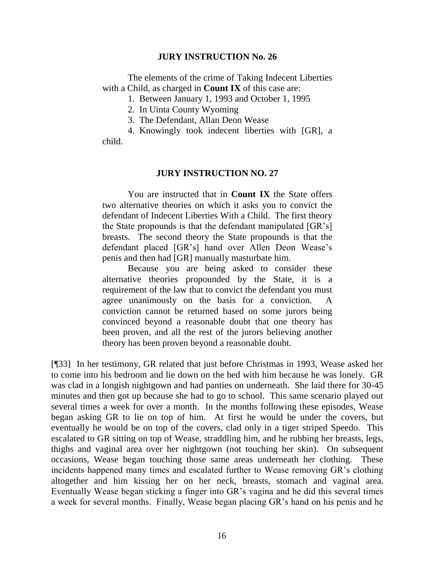#### **JURY INSTRUCTION No. 26**

The elements of the crime of Taking Indecent Liberties with a Child, as charged in **Count IX** of this case are:

1. Between January 1, 1993 and October 1, 1995

2. In Uinta County Wyoming

3. The Defendant, Allan Deon Wease

4. Knowingly took indecent liberties with [GR], a child.

#### **JURY INSTRUCTION NO. 27**

You are instructed that in **Count IX** the State offers two alternative theories on which it asks you to convict the defendant of Indecent Liberties With a Child. The first theory the State propounds is that the defendant manipulated [GR's] breasts. The second theory the State propounds is that the defendant placed [GR's] hand over Allen Deon Wease's penis and then had [GR] manually masturbate him.

Because you are being asked to consider these alternative theories propounded by the State, it is a requirement of the law that to convict the defendant you must agree unanimously on the basis for a conviction. A conviction cannot be returned based on some jurors being convinced beyond a reasonable doubt that one theory has been proven, and all the rest of the jurors believing another theory has been proven beyond a reasonable doubt.

[¶33] In her testimony, GR related that just before Christmas in 1993, Wease asked her to come into his bedroom and lie down on the bed with him because he was lonely. GR was clad in a longish nightgown and had panties on underneath. She laid there for 30-45 minutes and then got up because she had to go to school. This same scenario played out several times a week for over a month. In the months following these episodes, Wease began asking GR to lie on top of him. At first he would be under the covers, but eventually he would be on top of the covers, clad only in a tiger striped Speedo. This escalated to GR sitting on top of Wease, straddling him, and he rubbing her breasts, legs, thighs and vaginal area over her nightgown (not touching her skin). On subsequent occasions, Wease began touching those same areas underneath her clothing. These incidents happened many times and escalated further to Wease removing GR's clothing altogether and him kissing her on her neck, breasts, stomach and vaginal area. Eventually Wease began sticking a finger into GR's vagina and he did this several times a week for several months. Finally, Wease began placing GR's hand on his penis and he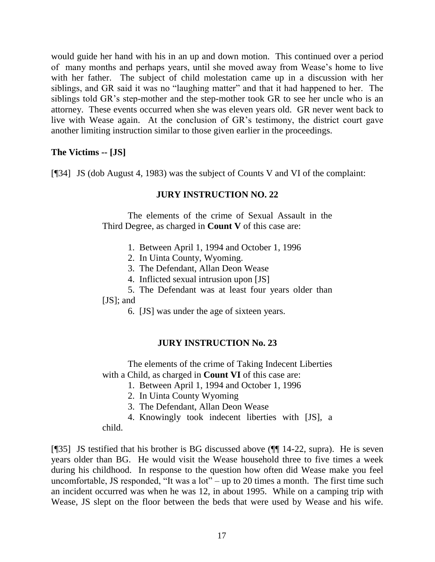would guide her hand with his in an up and down motion. This continued over a period of many months and perhaps years, until she moved away from Wease's home to live with her father. The subject of child molestation came up in a discussion with her siblings, and GR said it was no "laughing matter" and that it had happened to her. The siblings told GR's step-mother and the step-mother took GR to see her uncle who is an attorney. These events occurred when she was eleven years old. GR never went back to live with Wease again. At the conclusion of GR's testimony, the district court gave another limiting instruction similar to those given earlier in the proceedings.

# **The Victims -- [JS]**

[¶34] JS (dob August 4, 1983) was the subject of Counts V and VI of the complaint:

### **JURY INSTRUCTION NO. 22**

The elements of the crime of Sexual Assault in the Third Degree, as charged in **Count V** of this case are:

- 1. Between April 1, 1994 and October 1, 1996
- 2. In Uinta County, Wyoming.
- 3. The Defendant, Allan Deon Wease
- 4. Inflicted sexual intrusion upon [JS]
- 5. The Defendant was at least four years older than

#### [JS]; and

6. [JS] was under the age of sixteen years.

### **JURY INSTRUCTION No. 23**

The elements of the crime of Taking Indecent Liberties with a Child, as charged in **Count VI** of this case are:

- 1. Between April 1, 1994 and October 1, 1996
- 2. In Uinta County Wyoming
- 3. The Defendant, Allan Deon Wease
- 4. Knowingly took indecent liberties with [JS], a

child.

[¶35] JS testified that his brother is BG discussed above (¶¶ 14-22, supra). He is seven years older than BG. He would visit the Wease household three to five times a week during his childhood. In response to the question how often did Wease make you feel uncomfortable, JS responded, "It was a lot" – up to 20 times a month. The first time such an incident occurred was when he was 12, in about 1995. While on a camping trip with Wease, JS slept on the floor between the beds that were used by Wease and his wife.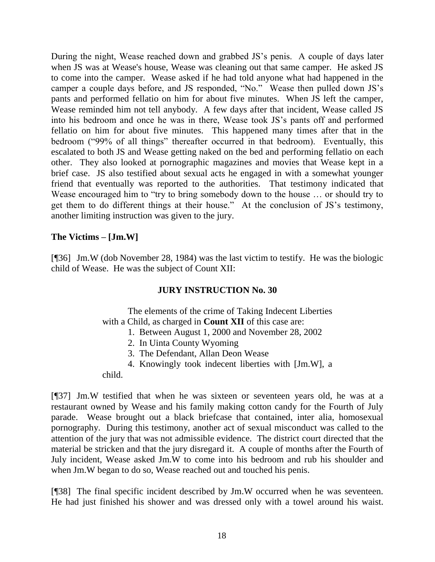During the night, Wease reached down and grabbed JS's penis. A couple of days later when JS was at Wease's house, Wease was cleaning out that same camper. He asked JS to come into the camper. Wease asked if he had told anyone what had happened in the camper a couple days before, and JS responded, "No." Wease then pulled down JS's pants and performed fellatio on him for about five minutes. When JS left the camper, Wease reminded him not tell anybody. A few days after that incident, Wease called JS into his bedroom and once he was in there, Wease took JS's pants off and performed fellatio on him for about five minutes. This happened many times after that in the bedroom ("99% of all things" thereafter occurred in that bedroom). Eventually, this escalated to both JS and Wease getting naked on the bed and performing fellatio on each other. They also looked at pornographic magazines and movies that Wease kept in a brief case. JS also testified about sexual acts he engaged in with a somewhat younger friend that eventually was reported to the authorities. That testimony indicated that Wease encouraged him to "try to bring somebody down to the house … or should try to get them to do different things at their house." At the conclusion of JS's testimony, another limiting instruction was given to the jury.

# **The Victims – [Jm.W]**

[¶36] Jm.W (dob November 28, 1984) was the last victim to testify. He was the biologic child of Wease. He was the subject of Count XII:

### **JURY INSTRUCTION No. 30**

The elements of the crime of Taking Indecent Liberties with a Child, as charged in **Count XII** of this case are:

- 1. Between August 1, 2000 and November 28, 2002
- 2. In Uinta County Wyoming
- 3. The Defendant, Allan Deon Wease
- 4. Knowingly took indecent liberties with [Jm.W], a

child.

[¶37] Jm.W testified that when he was sixteen or seventeen years old, he was at a restaurant owned by Wease and his family making cotton candy for the Fourth of July parade. Wease brought out a black briefcase that contained, inter alia, homosexual pornography. During this testimony, another act of sexual misconduct was called to the attention of the jury that was not admissible evidence. The district court directed that the material be stricken and that the jury disregard it. A couple of months after the Fourth of July incident, Wease asked Jm.W to come into his bedroom and rub his shoulder and when Jm.W began to do so, Wease reached out and touched his penis.

[¶38] The final specific incident described by Jm.W occurred when he was seventeen. He had just finished his shower and was dressed only with a towel around his waist.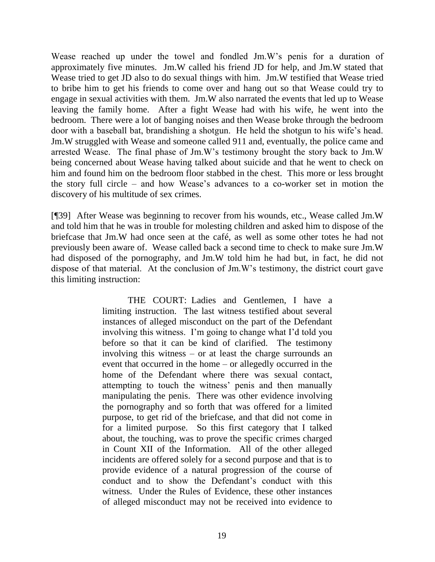Wease reached up under the towel and fondled Jm.W's penis for a duration of approximately five minutes. Jm.W called his friend JD for help, and Jm.W stated that Wease tried to get JD also to do sexual things with him. Jm.W testified that Wease tried to bribe him to get his friends to come over and hang out so that Wease could try to engage in sexual activities with them. Jm.W also narrated the events that led up to Wease leaving the family home. After a fight Wease had with his wife, he went into the bedroom. There were a lot of banging noises and then Wease broke through the bedroom door with a baseball bat, brandishing a shotgun. He held the shotgun to his wife's head. Jm.W struggled with Wease and someone called 911 and, eventually, the police came and arrested Wease. The final phase of Jm.W's testimony brought the story back to Jm.W being concerned about Wease having talked about suicide and that he went to check on him and found him on the bedroom floor stabbed in the chest. This more or less brought the story full circle – and how Wease's advances to a co-worker set in motion the discovery of his multitude of sex crimes.

[¶39] After Wease was beginning to recover from his wounds, etc., Wease called Jm.W and told him that he was in trouble for molesting children and asked him to dispose of the briefcase that Jm.W had once seen at the café, as well as some other totes he had not previously been aware of. Wease called back a second time to check to make sure Jm.W had disposed of the pornography, and Jm.W told him he had but, in fact, he did not dispose of that material. At the conclusion of Jm.W's testimony, the district court gave this limiting instruction:

> THE COURT: Ladies and Gentlemen, I have a limiting instruction. The last witness testified about several instances of alleged misconduct on the part of the Defendant involving this witness. I'm going to change what I'd told you before so that it can be kind of clarified. The testimony involving this witness – or at least the charge surrounds an event that occurred in the home – or allegedly occurred in the home of the Defendant where there was sexual contact, attempting to touch the witness' penis and then manually manipulating the penis. There was other evidence involving the pornography and so forth that was offered for a limited purpose, to get rid of the briefcase, and that did not come in for a limited purpose. So this first category that I talked about, the touching, was to prove the specific crimes charged in Count XII of the Information. All of the other alleged incidents are offered solely for a second purpose and that is to provide evidence of a natural progression of the course of conduct and to show the Defendant's conduct with this witness. Under the Rules of Evidence, these other instances of alleged misconduct may not be received into evidence to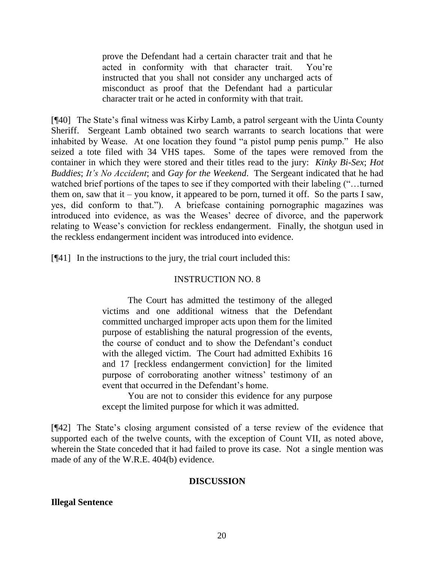prove the Defendant had a certain character trait and that he acted in conformity with that character trait. You're instructed that you shall not consider any uncharged acts of misconduct as proof that the Defendant had a particular character trait or he acted in conformity with that trait.

[¶40] The State's final witness was Kirby Lamb, a patrol sergeant with the Uinta County Sheriff. Sergeant Lamb obtained two search warrants to search locations that were inhabited by Wease. At one location they found "a pistol pump penis pump." He also seized a tote filed with 34 VHS tapes. Some of the tapes were removed from the container in which they were stored and their titles read to the jury: *Kinky Bi-Sex*; *Hot Buddies*; *It's No Accident*; and *Gay for the Weekend*. The Sergeant indicated that he had watched brief portions of the tapes to see if they comported with their labeling ("…turned them on, saw that it – you know, it appeared to be porn, turned it off. So the parts I saw, yes, did conform to that."). A briefcase containing pornographic magazines was introduced into evidence, as was the Weases' decree of divorce, and the paperwork relating to Wease's conviction for reckless endangerment. Finally, the shotgun used in the reckless endangerment incident was introduced into evidence.

[¶41] In the instructions to the jury, the trial court included this:

### INSTRUCTION NO. 8

The Court has admitted the testimony of the alleged victims and one additional witness that the Defendant committed uncharged improper acts upon them for the limited purpose of establishing the natural progression of the events, the course of conduct and to show the Defendant's conduct with the alleged victim. The Court had admitted Exhibits 16 and 17 [reckless endangerment conviction] for the limited purpose of corroborating another witness' testimony of an event that occurred in the Defendant's home.

You are not to consider this evidence for any purpose except the limited purpose for which it was admitted.

[¶42] The State's closing argument consisted of a terse review of the evidence that supported each of the twelve counts, with the exception of Count VII, as noted above, wherein the State conceded that it had failed to prove its case. Not a single mention was made of any of the W.R.E. 404(b) evidence.

#### **DISCUSSION**

#### **Illegal Sentence**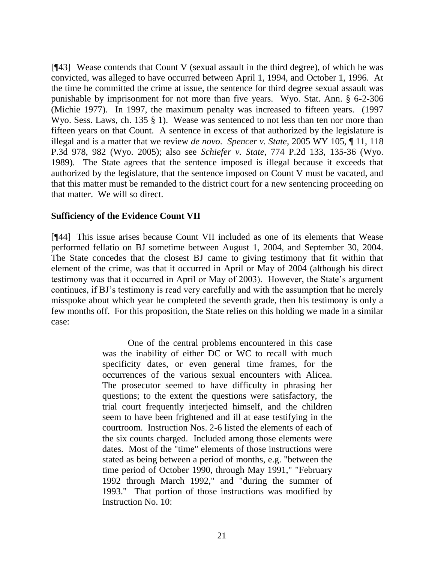[¶43] Wease contends that Count V (sexual assault in the third degree), of which he was convicted, was alleged to have occurred between April 1, 1994, and October 1, 1996. At the time he committed the crime at issue, the sentence for third degree sexual assault was punishable by imprisonment for not more than five years. Wyo. Stat. Ann. § 6-2-306 (Michie 1977). In 1997, the maximum penalty was increased to fifteen years. (1997 Wyo. Sess. Laws, ch. 135 § 1). Wease was sentenced to not less than ten nor more than fifteen years on that Count. A sentence in excess of that authorized by the legislature is illegal and is a matter that we review *de novo*. *Spencer v. State*, 2005 WY 105, ¶ 11, 118 P.3d 978, 982 (Wyo. 2005); also see *Schiefer v. State*, 774 P.2d 133, 135-36 (Wyo. 1989). The State agrees that the sentence imposed is illegal because it exceeds that authorized by the legislature, that the sentence imposed on Count V must be vacated, and that this matter must be remanded to the district court for a new sentencing proceeding on that matter. We will so direct.

# **Sufficiency of the Evidence Count VII**

[¶44] This issue arises because Count VII included as one of its elements that Wease performed fellatio on BJ sometime between August 1, 2004, and September 30, 2004. The State concedes that the closest BJ came to giving testimony that fit within that element of the crime, was that it occurred in April or May of 2004 (although his direct testimony was that it occurred in April or May of 2003). However, the State's argument continues, if BJ's testimony is read very carefully and with the assumption that he merely misspoke about which year he completed the seventh grade, then his testimony is only a few months off. For this proposition, the State relies on this holding we made in a similar case:

> One of the central problems encountered in this case was the inability of either DC or WC to recall with much specificity dates, or even general time frames, for the occurrences of the various sexual encounters with Alicea. The prosecutor seemed to have difficulty in phrasing her questions; to the extent the questions were satisfactory, the trial court frequently interjected himself, and the children seem to have been frightened and ill at ease testifying in the courtroom. Instruction Nos. 2-6 listed the elements of each of the six counts charged. Included among those elements were dates. Most of the "time" elements of those instructions were stated as being between a period of months, e.g. "between the time period of October 1990, through May 1991," "February 1992 through March 1992," and "during the summer of 1993." That portion of those instructions was modified by Instruction No. 10: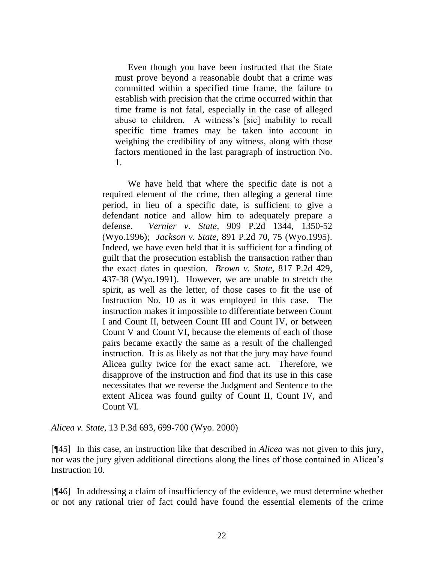Even though you have been instructed that the State must prove beyond a reasonable doubt that a crime was committed within a specified time frame, the failure to establish with precision that the crime occurred within that time frame is not fatal, especially in the case of alleged abuse to children. A witness's [sic] inability to recall specific time frames may be taken into account in weighing the credibility of any witness, along with those factors mentioned in the last paragraph of instruction No. 1.

We have held that where the specific date is not a required element of the crime, then alleging a general time period, in lieu of a specific date, is sufficient to give a defendant notice and allow him to adequately prepare a defense. *Vernier v. State*, 909 P.2d 1344, 1350-52 (Wyo.1996); *Jackson v. State*, 891 P.2d 70, 75 (Wyo.1995). Indeed, we have even held that it is sufficient for a finding of guilt that the prosecution establish the transaction rather than the exact dates in question. *Brown v. State*, 817 P.2d 429, 437-38 (Wyo.1991). However, we are unable to stretch the spirit, as well as the letter, of those cases to fit the use of Instruction No. 10 as it was employed in this case. The instruction makes it impossible to differentiate between Count I and Count II, between Count III and Count IV, or between Count V and Count VI, because the elements of each of those pairs became exactly the same as a result of the challenged instruction. It is as likely as not that the jury may have found Alicea guilty twice for the exact same act. Therefore, we disapprove of the instruction and find that its use in this case necessitates that we reverse the Judgment and Sentence to the extent Alicea was found guilty of Count II, Count IV, and Count VI.

*Alicea v. State*, 13 P.3d 693, 699-700 (Wyo. 2000)

[¶45] In this case, an instruction like that described in *Alicea* was not given to this jury, nor was the jury given additional directions along the lines of those contained in Alicea's Instruction 10.

[¶46] In addressing a claim of insufficiency of the evidence, we must determine whether or not any rational trier of fact could have found the essential elements of the crime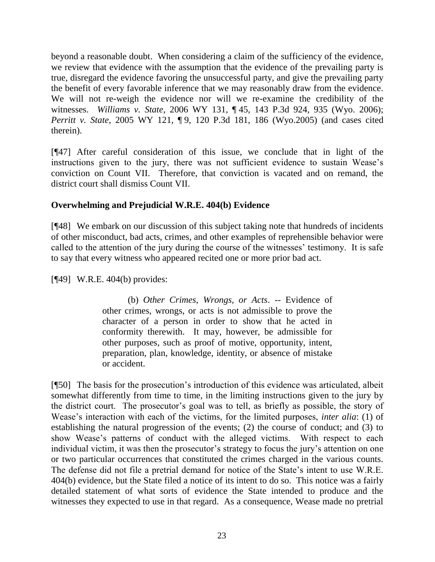beyond a reasonable doubt. When considering a claim of the sufficiency of the evidence, we review that evidence with the assumption that the evidence of the prevailing party is true, disregard the evidence favoring the unsuccessful party, and give the prevailing party the benefit of every favorable inference that we may reasonably draw from the evidence. We will not re-weigh the evidence nor will we re-examine the credibility of the witnesses. *Williams v. State*, 2006 WY 131, ¶ 45, 143 P.3d 924, 935 (Wyo. 2006); *Perritt v. State*, 2005 WY 121, ¶ 9, 120 P.3d 181, 186 (Wyo.2005) (and cases cited therein).

[¶47] After careful consideration of this issue, we conclude that in light of the instructions given to the jury, there was not sufficient evidence to sustain Wease's conviction on Count VII. Therefore, that conviction is vacated and on remand, the district court shall dismiss Count VII.

# **Overwhelming and Prejudicial W.R.E. 404(b) Evidence**

[¶48] We embark on our discussion of this subject taking note that hundreds of incidents of other misconduct, bad acts, crimes, and other examples of reprehensible behavior were called to the attention of the jury during the course of the witnesses' testimony. It is safe to say that every witness who appeared recited one or more prior bad act.

[¶49] W.R.E. 404(b) provides:

(b) *Other Crimes, Wrongs, or Acts*. -- Evidence of other crimes, wrongs, or acts is not admissible to prove the character of a person in order to show that he acted in conformity therewith. It may, however, be admissible for other purposes, such as proof of motive, opportunity, intent, preparation, plan, knowledge, identity, or absence of mistake or accident.

[¶50] The basis for the prosecution's introduction of this evidence was articulated, albeit somewhat differently from time to time, in the limiting instructions given to the jury by the district court. The prosecutor's goal was to tell, as briefly as possible, the story of Wease's interaction with each of the victims, for the limited purposes, *inter alia*: (1) of establishing the natural progression of the events; (2) the course of conduct; and (3) to show Wease's patterns of conduct with the alleged victims. With respect to each individual victim, it was then the prosecutor's strategy to focus the jury's attention on one or two particular occurrences that constituted the crimes charged in the various counts. The defense did not file a pretrial demand for notice of the State's intent to use W.R.E. 404(b) evidence, but the State filed a notice of its intent to do so. This notice was a fairly detailed statement of what sorts of evidence the State intended to produce and the witnesses they expected to use in that regard. As a consequence, Wease made no pretrial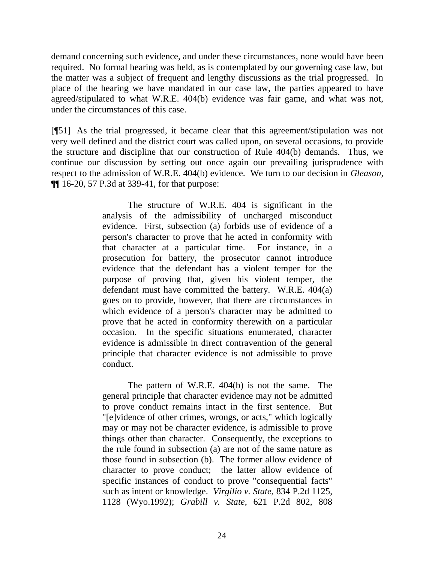demand concerning such evidence, and under these circumstances, none would have been required. No formal hearing was held, as is contemplated by our governing case law, but the matter was a subject of frequent and lengthy discussions as the trial progressed. In place of the hearing we have mandated in our case law, the parties appeared to have agreed/stipulated to what W.R.E. 404(b) evidence was fair game, and what was not, under the circumstances of this case.

[¶51] As the trial progressed, it became clear that this agreement/stipulation was not very well defined and the district court was called upon, on several occasions, to provide the structure and discipline that our construction of Rule 404(b) demands. Thus, we continue our discussion by setting out once again our prevailing jurisprudence with respect to the admission of W.R.E. 404(b) evidence. We turn to our decision in *Gleason*, ¶¶ 16-20, 57 P.3d at 339-41, for that purpose:

> The structure of W.R.E. 404 is significant in the analysis of the admissibility of uncharged misconduct evidence. First, subsection (a) forbids use of evidence of a person's character to prove that he acted in conformity with that character at a particular time. For instance, in a prosecution for battery, the prosecutor cannot introduce evidence that the defendant has a violent temper for the purpose of proving that, given his violent temper, the defendant must have committed the battery. W.R.E. 404(a) goes on to provide, however, that there are circumstances in which evidence of a person's character may be admitted to prove that he acted in conformity therewith on a particular occasion. In the specific situations enumerated, character evidence is admissible in direct contravention of the general principle that character evidence is not admissible to prove conduct.

> The pattern of W.R.E. 404(b) is not the same. The general principle that character evidence may not be admitted to prove conduct remains intact in the first sentence. But "[e]vidence of other crimes, wrongs, or acts," which logically may or may not be character evidence, is admissible to prove things other than character. Consequently, the exceptions to the rule found in subsection (a) are not of the same nature as those found in subsection (b). The former allow evidence of character to prove conduct; the latter allow evidence of specific instances of conduct to prove "consequential facts" such as intent or knowledge. *Virgilio v. State*, 834 P.2d 1125, 1128 (Wyo.1992); *Grabill v. State*, 621 P.2d 802, 808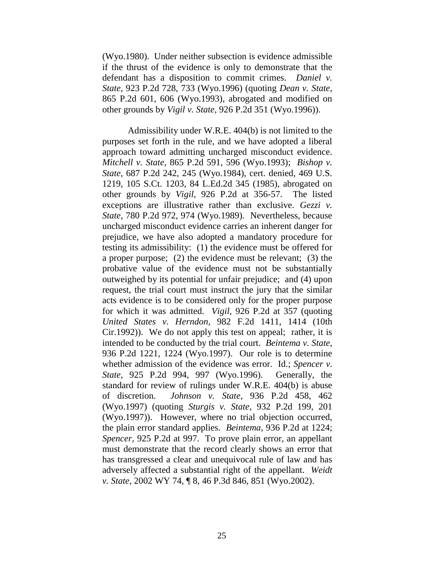(Wyo.1980). Under neither subsection is evidence admissible if the thrust of the evidence is only to demonstrate that the defendant has a disposition to commit crimes. *Daniel v. State*, 923 P.2d 728, 733 (Wyo.1996) (quoting *Dean v. State*, 865 P.2d 601, 606 (Wyo.1993), abrogated and modified on other grounds by *Vigil v. State*, 926 P.2d 351 (Wyo.1996)).

Admissibility under W.R.E. 404(b) is not limited to the purposes set forth in the rule, and we have adopted a liberal approach toward admitting uncharged misconduct evidence. *Mitchell v. State*, 865 P.2d 591, 596 (Wyo.1993); *Bishop v. State*, 687 P.2d 242, 245 (Wyo.1984), cert. denied, 469 U.S. 1219, 105 S.Ct. 1203, 84 L.Ed.2d 345 (1985), abrogated on other grounds by *Vigil*, 926 P.2d at 356-57. The listed exceptions are illustrative rather than exclusive. *Gezzi v*. *State*, 780 P.2d 972, 974 (Wyo.1989). Nevertheless, because uncharged misconduct evidence carries an inherent danger for prejudice, we have also adopted a mandatory procedure for testing its admissibility: (1) the evidence must be offered for a proper purpose; (2) the evidence must be relevant; (3) the probative value of the evidence must not be substantially outweighed by its potential for unfair prejudice; and (4) upon request, the trial court must instruct the jury that the similar acts evidence is to be considered only for the proper purpose for which it was admitted. *Vigil*, 926 P.2d at 357 (quoting *United States v. Herndon*, 982 F.2d 1411, 1414 (10th Cir.1992)). We do not apply this test on appeal; rather, it is intended to be conducted by the trial court. *Beintema v. State*, 936 P.2d 1221, 1224 (Wyo.1997). Our role is to determine whether admission of the evidence was error. Id.; *Spencer v. State*, 925 P.2d 994, 997 (Wyo.1996). Generally, the standard for review of rulings under W.R.E. 404(b) is abuse of discretion. *Johnson v. State*, 936 P.2d 458, 462 (Wyo.1997) (quoting *Sturgis v. State*, 932 P.2d 199, 201 (Wyo.1997)). However, where no trial objection occurred, the plain error standard applies. *Beintema*, 936 P.2d at 1224; *Spencer*, 925 P.2d at 997. To prove plain error, an appellant must demonstrate that the record clearly shows an error that has transgressed a clear and unequivocal rule of law and has adversely affected a substantial right of the appellant. *Weidt v. State*, 2002 WY 74, ¶ 8, 46 P.3d 846, 851 (Wyo.2002).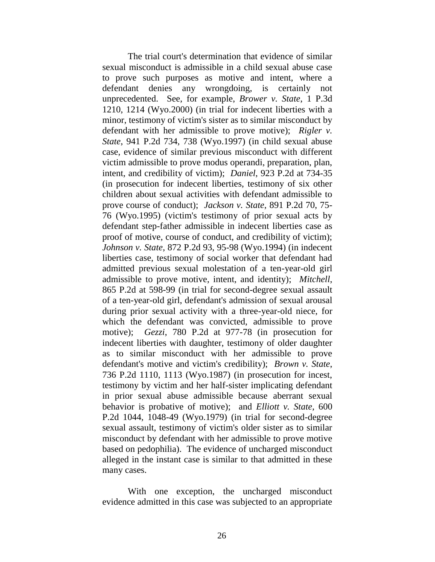The trial court's determination that evidence of similar sexual misconduct is admissible in a child sexual abuse case to prove such purposes as motive and intent, where a defendant denies any wrongdoing, is certainly not unprecedented. See, for example, *Brower v. State*, 1 P.3d 1210, 1214 (Wyo.2000) (in trial for indecent liberties with a minor, testimony of victim's sister as to similar misconduct by defendant with her admissible to prove motive); *Rigler v. State*, 941 P.2d 734, 738 (Wyo.1997) (in child sexual abuse case, evidence of similar previous misconduct with different victim admissible to prove modus operandi, preparation, plan, intent, and credibility of victim); *Daniel*, 923 P.2d at 734-35 (in prosecution for indecent liberties, testimony of six other children about sexual activities with defendant admissible to prove course of conduct); *Jackson v. State*, 891 P.2d 70, 75- 76 (Wyo.1995) (victim's testimony of prior sexual acts by defendant step-father admissible in indecent liberties case as proof of motive, course of conduct, and credibility of victim); *Johnson v. State*, 872 P.2d 93, 95-98 (Wyo.1994) (in indecent liberties case, testimony of social worker that defendant had admitted previous sexual molestation of a ten-year-old girl admissible to prove motive, intent, and identity); *Mitchell*, 865 P.2d at 598-99 (in trial for second-degree sexual assault of a ten-year-old girl, defendant's admission of sexual arousal during prior sexual activity with a three-year-old niece, for which the defendant was convicted, admissible to prove motive); *Gezzi*, 780 P.2d at 977-78 (in prosecution for indecent liberties with daughter, testimony of older daughter as to similar misconduct with her admissible to prove defendant's motive and victim's credibility); *Brown v. State*, 736 P.2d 1110, 1113 (Wyo.1987) (in prosecution for incest, testimony by victim and her half-sister implicating defendant in prior sexual abuse admissible because aberrant sexual behavior is probative of motive); and *Elliott v. State*, 600 P.2d 1044, 1048-49 (Wyo.1979) (in trial for second-degree sexual assault, testimony of victim's older sister as to similar misconduct by defendant with her admissible to prove motive based on pedophilia). The evidence of uncharged misconduct alleged in the instant case is similar to that admitted in these many cases.

With one exception, the uncharged misconduct evidence admitted in this case was subjected to an appropriate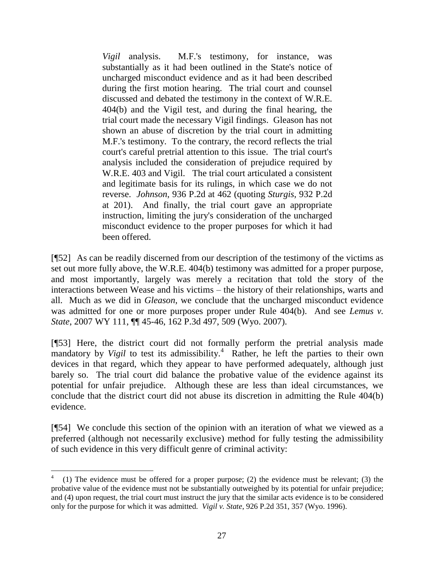*Vigil* analysis. M.F.'s testimony, for instance, was substantially as it had been outlined in the State's notice of uncharged misconduct evidence and as it had been described during the first motion hearing. The trial court and counsel discussed and debated the testimony in the context of W.R.E. 404(b) and the Vigil test, and during the final hearing, the trial court made the necessary Vigil findings. Gleason has not shown an abuse of discretion by the trial court in admitting M.F.'s testimony. To the contrary, the record reflects the trial court's careful pretrial attention to this issue. The trial court's analysis included the consideration of prejudice required by W.R.E. 403 and Vigil. The trial court articulated a consistent and legitimate basis for its rulings, in which case we do not reverse. *Johnson*, 936 P.2d at 462 (quoting *Sturgis*, 932 P.2d at 201). And finally, the trial court gave an appropriate instruction, limiting the jury's consideration of the uncharged misconduct evidence to the proper purposes for which it had been offered.

[¶52] As can be readily discerned from our description of the testimony of the victims as set out more fully above, the W.R.E. 404(b) testimony was admitted for a proper purpose, and most importantly, largely was merely a recitation that told the story of the interactions between Wease and his victims – the history of their relationships, warts and all. Much as we did in *Gleason*, we conclude that the uncharged misconduct evidence was admitted for one or more purposes proper under Rule 404(b). And see *Lemus v. State*, 2007 WY 111, ¶¶ 45-46, 162 P.3d 497, 509 (Wyo. 2007).

[¶53] Here, the district court did not formally perform the pretrial analysis made mandatory by *Vigil* to test its admissibility.<sup>4</sup> Rather, he left the parties to their own devices in that regard, which they appear to have performed adequately, although just barely so. The trial court did balance the probative value of the evidence against its potential for unfair prejudice. Although these are less than ideal circumstances, we conclude that the district court did not abuse its discretion in admitting the Rule 404(b) evidence.

[¶54] We conclude this section of the opinion with an iteration of what we viewed as a preferred (although not necessarily exclusive) method for fully testing the admissibility of such evidence in this very difficult genre of criminal activity:

<sup>4</sup> (1) The evidence must be offered for a proper purpose; (2) the evidence must be relevant; (3) the probative value of the evidence must not be substantially outweighed by its potential for unfair prejudice; and (4) upon request, the trial court must instruct the jury that the similar acts evidence is to be considered only for the purpose for which it was admitted. *Vigil v. State*, 926 P.2d 351, 357 (Wyo. 1996).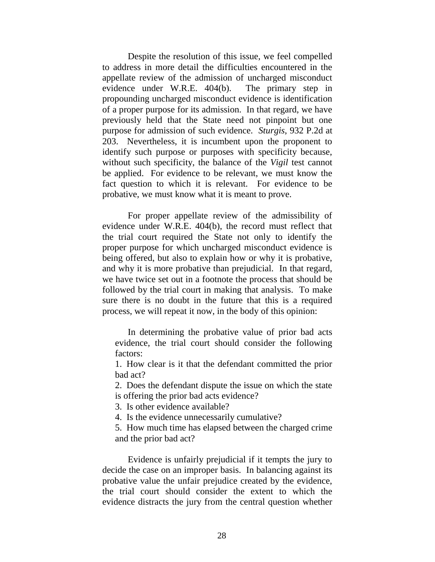Despite the resolution of this issue, we feel compelled to address in more detail the difficulties encountered in the appellate review of the admission of uncharged misconduct evidence under W.R.E. 404(b). The primary step in propounding uncharged misconduct evidence is identification of a proper purpose for its admission. In that regard, we have previously held that the State need not pinpoint but one purpose for admission of such evidence. *Sturgis*, 932 P.2d at 203. Nevertheless, it is incumbent upon the proponent to identify such purpose or purposes with specificity because, without such specificity, the balance of the *Vigil* test cannot be applied. For evidence to be relevant, we must know the fact question to which it is relevant. For evidence to be probative, we must know what it is meant to prove.

For proper appellate review of the admissibility of evidence under W.R.E. 404(b), the record must reflect that the trial court required the State not only to identify the proper purpose for which uncharged misconduct evidence is being offered, but also to explain how or why it is probative, and why it is more probative than prejudicial. In that regard, we have twice set out in a footnote the process that should be followed by the trial court in making that analysis. To make sure there is no doubt in the future that this is a required process, we will repeat it now, in the body of this opinion:

In determining the probative value of prior bad acts evidence, the trial court should consider the following factors:

1. How clear is it that the defendant committed the prior bad act?

2. Does the defendant dispute the issue on which the state is offering the prior bad acts evidence?

3. Is other evidence available?

4. Is the evidence unnecessarily cumulative?

5. How much time has elapsed between the charged crime and the prior bad act?

Evidence is unfairly prejudicial if it tempts the jury to decide the case on an improper basis. In balancing against its probative value the unfair prejudice created by the evidence, the trial court should consider the extent to which the evidence distracts the jury from the central question whether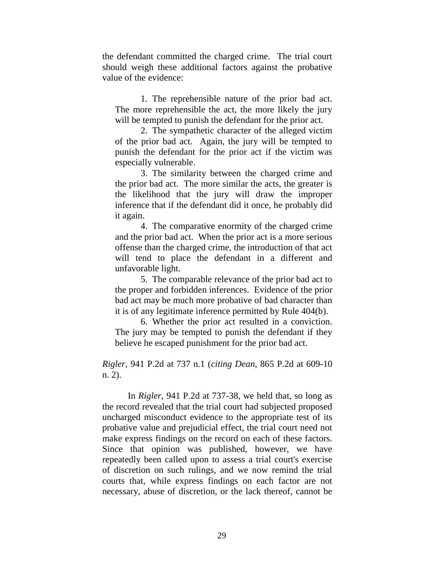the defendant committed the charged crime. The trial court should weigh these additional factors against the probative value of the evidence:

1. The reprehensible nature of the prior bad act. The more reprehensible the act, the more likely the jury will be tempted to punish the defendant for the prior act.

2. The sympathetic character of the alleged victim of the prior bad act. Again, the jury will be tempted to punish the defendant for the prior act if the victim was especially vulnerable.

3. The similarity between the charged crime and the prior bad act. The more similar the acts, the greater is the likelihood that the jury will draw the improper inference that if the defendant did it once, he probably did it again.

4. The comparative enormity of the charged crime and the prior bad act. When the prior act is a more serious offense than the charged crime, the introduction of that act will tend to place the defendant in a different and unfavorable light.

5. The comparable relevance of the prior bad act to the proper and forbidden inferences. Evidence of the prior bad act may be much more probative of bad character than it is of any legitimate inference permitted by Rule 404(b).

6. Whether the prior act resulted in a conviction. The jury may be tempted to punish the defendant if they believe he escaped punishment for the prior bad act.

*Rigler*, 941 P.2d at 737 n.1 (*citing Dean*, 865 P.2d at 609-10 n. 2).

In *Rigler*, 941 P.2d at 737-38, we held that, so long as the record revealed that the trial court had subjected proposed uncharged misconduct evidence to the appropriate test of its probative value and prejudicial effect, the trial court need not make express findings on the record on each of these factors. Since that opinion was published, however, we have repeatedly been called upon to assess a trial court's exercise of discretion on such rulings, and we now remind the trial courts that, while express findings on each factor are not necessary, abuse of discretion, or the lack thereof, cannot be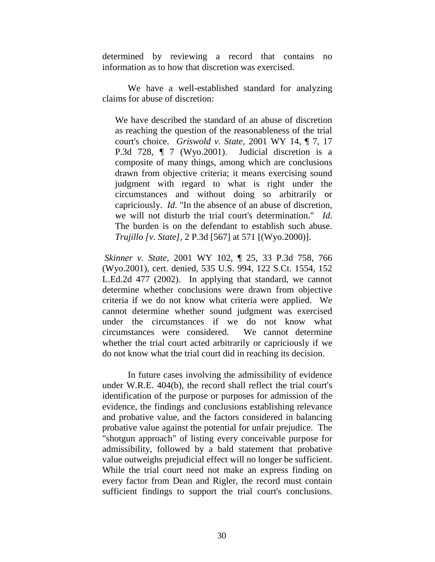determined by reviewing a record that contains no information as to how that discretion was exercised.

We have a well-established standard for analyzing claims for abuse of discretion:

We have described the standard of an abuse of discretion as reaching the question of the reasonableness of the trial court's choice. *Griswold v. State*, 2001 WY 14, ¶ 7, 17 P.3d 728, ¶ 7 (Wyo.2001). Judicial discretion is a composite of many things, among which are conclusions drawn from objective criteria; it means exercising sound judgment with regard to what is right under the circumstances and without doing so arbitrarily or capriciously. *Id*. "In the absence of an abuse of discretion, we will not disturb the trial court's determination." *Id*. The burden is on the defendant to establish such abuse. *Trujillo [v. State]*, 2 P.3d [567] at 571 [(Wyo.2000)].

*Skinner v. State*, 2001 WY 102, ¶ 25, 33 P.3d 758, 766 (Wyo.2001), cert. denied, 535 U.S. 994, 122 S.Ct. 1554, 152 L.Ed.2d 477 (2002). In applying that standard, we cannot determine whether conclusions were drawn from objective criteria if we do not know what criteria were applied. We cannot determine whether sound judgment was exercised under the circumstances if we do not know what circumstances were considered. We cannot determine whether the trial court acted arbitrarily or capriciously if we do not know what the trial court did in reaching its decision.

In future cases involving the admissibility of evidence under W.R.E. 404(b), the record shall reflect the trial court's identification of the purpose or purposes for admission of the evidence, the findings and conclusions establishing relevance and probative value, and the factors considered in balancing probative value against the potential for unfair prejudice. The "shotgun approach" of listing every conceivable purpose for admissibility, followed by a bald statement that probative value outweighs prejudicial effect will no longer be sufficient. While the trial court need not make an express finding on every factor from Dean and Rigler, the record must contain sufficient findings to support the trial court's conclusions.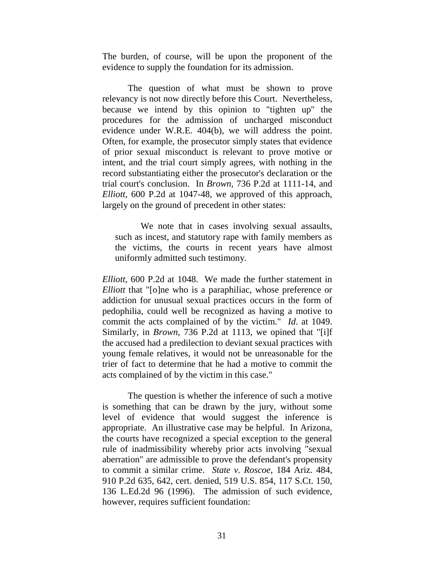The burden, of course, will be upon the proponent of the evidence to supply the foundation for its admission.

The question of what must be shown to prove relevancy is not now directly before this Court. Nevertheless, because we intend by this opinion to "tighten up" the procedures for the admission of uncharged misconduct evidence under W.R.E. 404(b), we will address the point. Often, for example, the prosecutor simply states that evidence of prior sexual misconduct is relevant to prove motive or intent, and the trial court simply agrees, with nothing in the record substantiating either the prosecutor's declaration or the trial court's conclusion. In *Brown*, 736 P.2d at 1111-14, and *Elliott*, 600 P.2d at 1047-48, we approved of this approach, largely on the ground of precedent in other states:

We note that in cases involving sexual assaults, such as incest, and statutory rape with family members as the victims, the courts in recent years have almost uniformly admitted such testimony.

*Elliott*, 600 P.2d at 1048. We made the further statement in *Elliott* that "[o]ne who is a paraphiliac, whose preference or addiction for unusual sexual practices occurs in the form of pedophilia, could well be recognized as having a motive to commit the acts complained of by the victim." *Id*. at 1049. Similarly, in *Brown*, 736 P.2d at 1113, we opined that "[i]f the accused had a predilection to deviant sexual practices with young female relatives, it would not be unreasonable for the trier of fact to determine that he had a motive to commit the acts complained of by the victim in this case."

The question is whether the inference of such a motive is something that can be drawn by the jury, without some level of evidence that would suggest the inference is appropriate. An illustrative case may be helpful. In Arizona, the courts have recognized a special exception to the general rule of inadmissibility whereby prior acts involving "sexual aberration" are admissible to prove the defendant's propensity to commit a similar crime. *State v. Roscoe*, 184 Ariz. 484, 910 P.2d 635, 642, cert. denied, 519 U.S. 854, 117 S.Ct. 150, 136 L.Ed.2d 96 (1996). The admission of such evidence, however, requires sufficient foundation: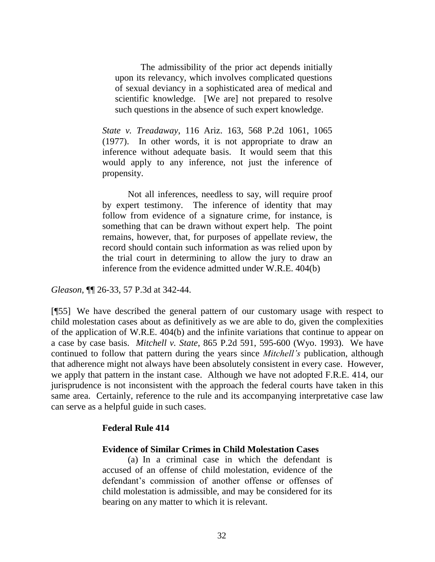The admissibility of the prior act depends initially upon its relevancy, which involves complicated questions of sexual deviancy in a sophisticated area of medical and scientific knowledge. [We are] not prepared to resolve such questions in the absence of such expert knowledge.

*State v. Treadaway*, 116 Ariz. 163, 568 P.2d 1061, 1065 (1977). In other words, it is not appropriate to draw an inference without adequate basis. It would seem that this would apply to any inference, not just the inference of propensity.

Not all inferences, needless to say, will require proof by expert testimony. The inference of identity that may follow from evidence of a signature crime, for instance, is something that can be drawn without expert help. The point remains, however, that, for purposes of appellate review, the record should contain such information as was relied upon by the trial court in determining to allow the jury to draw an inference from the evidence admitted under W.R.E. 404(b)

*Gleason*, ¶¶ 26-33, 57 P.3d at 342-44.

[¶55] We have described the general pattern of our customary usage with respect to child molestation cases about as definitively as we are able to do, given the complexities of the application of W.R.E. 404(b) and the infinite variations that continue to appear on a case by case basis. *Mitchell v. State*, 865 P.2d 591, 595-600 (Wyo. 1993). We have continued to follow that pattern during the years since *Mitchell's* publication, although that adherence might not always have been absolutely consistent in every case. However, we apply that pattern in the instant case. Although we have not adopted F.R.E. 414, our jurisprudence is not inconsistent with the approach the federal courts have taken in this same area. Certainly, reference to the rule and its accompanying interpretative case law can serve as a helpful guide in such cases.

### **Federal Rule 414**

## **Evidence of Similar Crimes in Child Molestation Cases**

(a) In a criminal case in which the defendant is accused of an offense of child molestation, evidence of the defendant's commission of another offense or offenses of child molestation is admissible, and may be considered for its bearing on any matter to which it is relevant.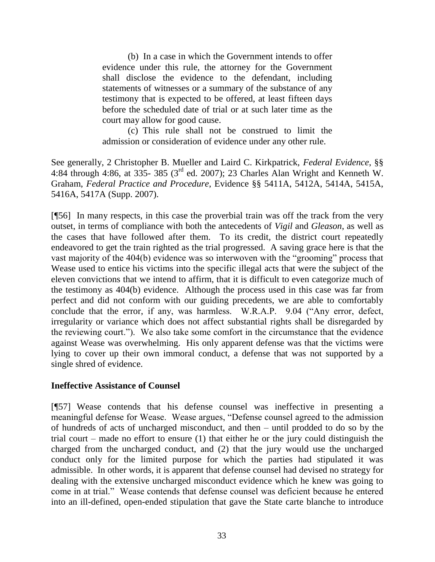(b) In a case in which the Government intends to offer evidence under this rule, the attorney for the Government shall disclose the evidence to the defendant, including statements of witnesses or a summary of the substance of any testimony that is expected to be offered, at least fifteen days before the scheduled date of trial or at such later time as the court may allow for good cause.

(c) This rule shall not be construed to limit the admission or consideration of evidence under any other rule.

See generally, 2 Christopher B. Mueller and Laird C. Kirkpatrick, *Federal Evidence*, §§ 4:84 through 4:86, at 335- 385 (3rd ed. 2007); 23 Charles Alan Wright and Kenneth W. Graham, *Federal Practice and Procedure*, Evidence §§ 5411A, 5412A, 5414A, 5415A, 5416A, 5417A (Supp. 2007).

[¶56] In many respects, in this case the proverbial train was off the track from the very outset, in terms of compliance with both the antecedents of *Vigil* and *Gleason*, as well as the cases that have followed after them. To its credit, the district court repeatedly endeavored to get the train righted as the trial progressed. A saving grace here is that the vast majority of the 404(b) evidence was so interwoven with the "grooming" process that Wease used to entice his victims into the specific illegal acts that were the subject of the eleven convictions that we intend to affirm, that it is difficult to even categorize much of the testimony as 404(b) evidence. Although the process used in this case was far from perfect and did not conform with our guiding precedents, we are able to comfortably conclude that the error, if any, was harmless. W.R.A.P. 9.04 ("Any error, defect, irregularity or variance which does not affect substantial rights shall be disregarded by the reviewing court."). We also take some comfort in the circumstance that the evidence against Wease was overwhelming. His only apparent defense was that the victims were lying to cover up their own immoral conduct, a defense that was not supported by a single shred of evidence.

# **Ineffective Assistance of Counsel**

[¶57] Wease contends that his defense counsel was ineffective in presenting a meaningful defense for Wease. Wease argues, "Defense counsel agreed to the admission of hundreds of acts of uncharged misconduct, and then – until prodded to do so by the trial court – made no effort to ensure (1) that either he or the jury could distinguish the charged from the uncharged conduct, and (2) that the jury would use the uncharged conduct only for the limited purpose for which the parties had stipulated it was admissible. In other words, it is apparent that defense counsel had devised no strategy for dealing with the extensive uncharged misconduct evidence which he knew was going to come in at trial." Wease contends that defense counsel was deficient because he entered into an ill-defined, open-ended stipulation that gave the State carte blanche to introduce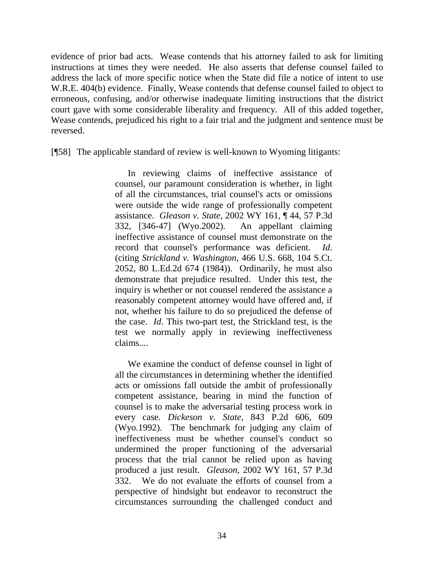evidence of prior bad acts. Wease contends that his attorney failed to ask for limiting instructions at times they were needed. He also asserts that defense counsel failed to address the lack of more specific notice when the State did file a notice of intent to use W.R.E. 404(b) evidence. Finally, Wease contends that defense counsel failed to object to erroneous, confusing, and/or otherwise inadequate limiting instructions that the district court gave with some considerable liberality and frequency. All of this added together, Wease contends, prejudiced his right to a fair trial and the judgment and sentence must be reversed.

[¶58] The applicable standard of review is well-known to Wyoming litigants:

In reviewing claims of ineffective assistance of counsel, our paramount consideration is whether, in light of all the circumstances, trial counsel's acts or omissions were outside the wide range of professionally competent assistance. *Gleason v. State*, 2002 WY 161, ¶ 44, 57 P.3d 332, [346-47] (Wyo.2002). An appellant claiming ineffective assistance of counsel must demonstrate on the record that counsel's performance was deficient. *Id*. (citing *Strickland v. Washington*, 466 U.S. 668, 104 S.Ct. 2052, 80 L.Ed.2d 674 (1984)). Ordinarily, he must also demonstrate that prejudice resulted. Under this test, the inquiry is whether or not counsel rendered the assistance a reasonably competent attorney would have offered and, if not, whether his failure to do so prejudiced the defense of the case. *Id*. This two-part test, the Strickland test, is the test we normally apply in reviewing ineffectiveness claims....

We examine the conduct of defense counsel in light of all the circumstances in determining whether the identified acts or omissions fall outside the ambit of professionally competent assistance, bearing in mind the function of counsel is to make the adversarial testing process work in every case. *Dickeson v. State*, 843 P.2d 606, 609 (Wyo.1992). The benchmark for judging any claim of ineffectiveness must be whether counsel's conduct so undermined the proper functioning of the adversarial process that the trial cannot be relied upon as having produced a just result. *Gleason*, 2002 WY 161, 57 P.3d 332. We do not evaluate the efforts of counsel from a perspective of hindsight but endeavor to reconstruct the circumstances surrounding the challenged conduct and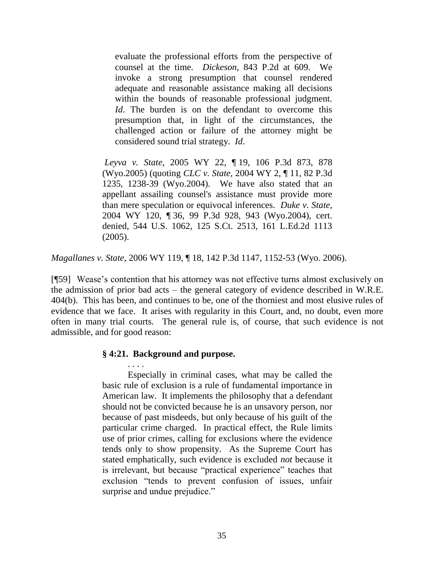evaluate the professional efforts from the perspective of counsel at the time. *Dickeson*, 843 P.2d at 609. We invoke a strong presumption that counsel rendered adequate and reasonable assistance making all decisions within the bounds of reasonable professional judgment. *Id*. The burden is on the defendant to overcome this presumption that, in light of the circumstances, the challenged action or failure of the attorney might be considered sound trial strategy. *Id*.

*Leyva v. State*, 2005 WY 22, ¶ 19, 106 P.3d 873, 878 (Wyo.2005) (quoting *CLC v. State*, 2004 WY 2, ¶ 11, 82 P.3d 1235, 1238-39 (Wyo.2004). We have also stated that an appellant assailing counsel's assistance must provide more than mere speculation or equivocal inferences. *Duke v. State*, 2004 WY 120, ¶ 36, 99 P.3d 928, 943 (Wyo.2004), cert. denied, 544 U.S. 1062, 125 S.Ct. 2513, 161 L.Ed.2d 1113 (2005).

*Magallanes v. State*, 2006 WY 119, ¶ 18, 142 P.3d 1147, 1152-53 (Wyo. 2006).

[¶59] Wease's contention that his attorney was not effective turns almost exclusively on the admission of prior bad acts – the general category of evidence described in W.R.E. 404(b). This has been, and continues to be, one of the thorniest and most elusive rules of evidence that we face. It arises with regularity in this Court, and, no doubt, even more often in many trial courts. The general rule is, of course, that such evidence is not admissible, and for good reason:

#### **§ 4:21. Background and purpose.**

. . . . Especially in criminal cases, what may be called the basic rule of exclusion is a rule of fundamental importance in American law. It implements the philosophy that a defendant should not be convicted because he is an unsavory person, nor because of past misdeeds, but only because of his guilt of the particular crime charged. In practical effect, the Rule limits use of prior crimes, calling for exclusions where the evidence tends only to show propensity. As the Supreme Court has stated emphatically, such evidence is excluded *not* because it is irrelevant, but because "practical experience" teaches that exclusion "tends to prevent confusion of issues, unfair surprise and undue prejudice."